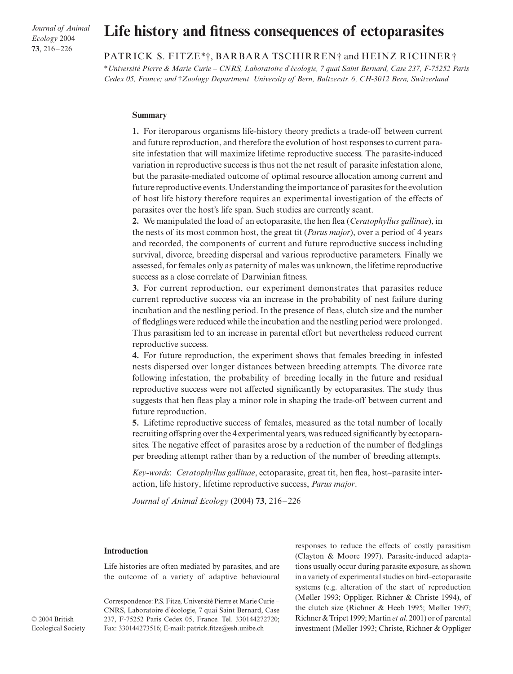*Journal of Animal Ecology* 2004 **73**, 216–226

# Life history and fitness consequences of ectoparasites

# PATRICK S. FITZE\*†, BARBARA TSCHIRREN† and HEINZ RICHNER†

\**Université Pierre & Marie Curie – CNRS, Laboratoire d'écologie, 7 quai Saint Bernard, Case 237, F-75252 Paris Cedex 05, France; and* †*Zoology Department, University of Bern, Baltzerstr. 6, CH-3012 Bern, Switzerland* 

#### **Summary**

**1.** For iteroparous organisms life-history theory predicts a trade-off between current and future reproduction, and therefore the evolution of host responses to current parasite infestation that will maximize lifetime reproductive success. The parasite-induced variation in reproductive success is thus not the net result of parasite infestation alone, but the parasite-mediated outcome of optimal resource allocation among current and future reproductive events. Understanding the importance of parasites for the evolution of host life history therefore requires an experimental investigation of the effects of parasites over the host's life span. Such studies are currently scant.

**2.** We manipulated the load of an ectoparasite, the hen flea (*Ceratophyllus gallinae*), in the nests of its most common host, the great tit (*Parus major*), over a period of 4 years and recorded, the components of current and future reproductive success including survival, divorce, breeding dispersal and various reproductive parameters. Finally we assessed, for females only as paternity of males was unknown, the lifetime reproductive success as a close correlate of Darwinian fitness.

**3.** For current reproduction, our experiment demonstrates that parasites reduce current reproductive success via an increase in the probability of nest failure during incubation and the nestling period. In the presence of fleas, clutch size and the number of fledglings were reduced while the incubation and the nestling period were prolonged. Thus parasitism led to an increase in parental effort but nevertheless reduced current reproductive success.

**4.** For future reproduction, the experiment shows that females breeding in infested nests dispersed over longer distances between breeding attempts. The divorce rate following infestation, the probability of breeding locally in the future and residual reproductive success were not affected significantly by ectoparasites. The study thus suggests that hen fleas play a minor role in shaping the trade-off between current and future reproduction.

**5.** Lifetime reproductive success of females, measured as the total number of locally recruiting offspring over the 4 experimental years, was reduced significantly by ectoparasites. The negative effect of parasites arose by a reduction of the number of fledglings per breeding attempt rather than by a reduction of the number of breeding attempts.

*Key-words*: *Ceratophyllus gallinae*, ectoparasite, great tit, hen flea, host–parasite interaction, life history, lifetime reproductive success, *Parus major*.

*Journal of Animal Ecology* (2004) **73**, 216–226

# **Introduction**

Life histories are often mediated by parasites, and are the outcome of a variety of adaptive behavioural

Correspondence: P.S. Fitze, Université Pierre et Marie Curie – CNRS, Laboratoire d'écologie, 7 quai Saint Bernard, Case 237, F-75252 Paris Cedex 05, France. Tel. 330144272720; Fax: 330144273516; E-mail: patrick.fitze@esh.unibe.ch

responses to reduce the effects of costly parasitism (Clayton & Moore 1997). Parasite-induced adaptations usually occur during parasite exposure, as shown in a variety of experimental studies on bird–ectoparasite systems (e.g. alteration of the start of reproduction (Møller 1993; Oppliger, Richner & Christe 1994), of the clutch size (Richner & Heeb 1995; Møller 1997; Richner & Tripet 1999; Martin *et al*. 2001) or of parental investment (Møller 1993; Christe, Richner & Oppliger

© 2004 British Ecological Society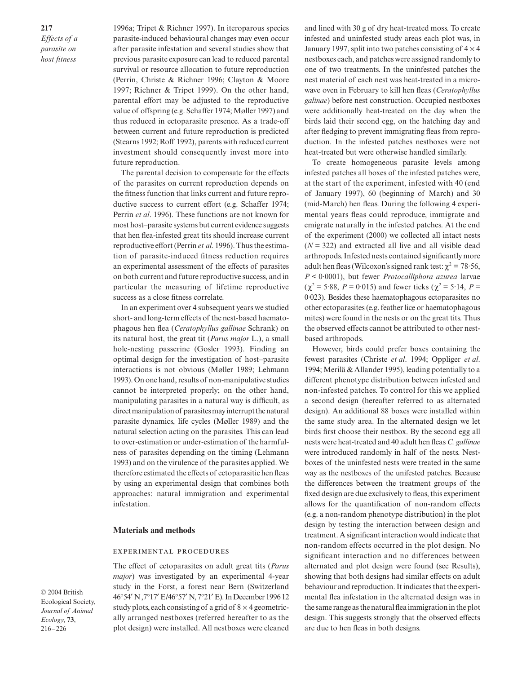1996a; Tripet & Richner 1997). In iteroparous species parasite-induced behavioural changes may even occur after parasite infestation and several studies show that previous parasite exposure can lead to reduced parental survival or resource allocation to future reproduction (Perrin, Christe & Richner 1996; Clayton & Moore 1997; Richner & Tripet 1999). On the other hand, parental effort may be adjusted to the reproductive value of offspring (e.g. Schaffer 1974; Møller 1997) and thus reduced in ectoparasite presence. As a trade-off between current and future reproduction is predicted (Stearns 1992; Roff 1992), parents with reduced current investment should consequently invest more into future reproduction.

The parental decision to compensate for the effects of the parasites on current reproduction depends on the fitness function that links current and future reproductive success to current effort (e.g. Schaffer 1974; Perrin *et al*. 1996). These functions are not known for most host–parasite systems but current evidence suggests that hen flea-infested great tits should increase current reproductive effort (Perrin *et al*. 1996). Thus the estimation of parasite-induced fitness reduction requires an experimental assessment of the effects of parasites on both current and future reproductive success, and in particular the measuring of lifetime reproductive success as a close fitness correlate.

In an experiment over 4 subsequent years we studied short- and long-term effects of the nest-based haematophagous hen flea (*Ceratophyllus gallinae* Schrank) on its natural host, the great tit (*Parus major* L.), a small hole-nesting passerine (Gosler 1993). Finding an optimal design for the investigation of host–parasite interactions is not obvious (Møller 1989; Lehmann 1993). On one hand, results of non-manipulative studies cannot be interpreted properly; on the other hand, manipulating parasites in a natural way is difficult, as direct manipulation of parasites may interrupt the natural parasite dynamics, life cycles (Møller 1989) and the natural selection acting on the parasites. This can lead to over-estimation or under-estimation of the harmfulness of parasites depending on the timing (Lehmann 1993) and on the virulence of the parasites applied. We therefore estimated the effects of ectoparasitic hen fleas by using an experimental design that combines both approaches: natural immigration and experimental infestation.

#### **Materials and methods**

#### EXPERIMENTAL PROCEDURES

The effect of ectoparasites on adult great tits (*Parus major*) was investigated by an experimental 4-year study in the Forst, a forest near Bern (Switzerland 46°54′ N ,7°17′ E/46°57′ N, 7°21′ E). In December 1996 12 study plots, each consisting of a grid of  $8 \times 4$  geometrically arranged nestboxes (referred hereafter to as the plot design) were installed. All nestboxes were cleaned

and lined with 30 g of dry heat-treated moss. To create infested and uninfested study areas each plot was, in January 1997, split into two patches consisting of  $4 \times 4$ nestboxes each, and patches were assigned randomly to one of two treatments. In the uninfested patches the nest material of each nest was heat-treated in a microwave oven in February to kill hen fleas (*Ceratophyllus galinae*) before nest construction. Occupied nestboxes were additionally heat-treated on the day when the birds laid their second egg, on the hatching day and after fledging to prevent immigrating fleas from reproduction. In the infested patches nestboxes were not heat-treated but were otherwise handled similarly.

To create homogeneous parasite levels among infested patches all boxes of the infested patches were, at the start of the experiment, infested with 40 (end of January 1997), 60 (beginning of March) and 30 (mid-March) hen fleas. During the following 4 experimental years fleas could reproduce, immigrate and emigrate naturally in the infested patches. At the end of the experiment (2000) we collected all intact nests  $(N = 322)$  and extracted all live and all visible dead arthropods. Infested nests contained significantly more adult hen fleas (Wilcoxon's signed rank test:  $\chi^2 = 78.56$ , *P* < 0·0001), but fewer *Protocalliphora azurea* larvae  $(χ<sup>2</sup> = 5.88, P = 0.015)$  and fewer ticks  $(χ<sup>2</sup> = 5.14, P = 1.004)$ 0·023). Besides these haematophagous ectoparasites no other ectoparasites (e.g. feather lice or haematophagous mites) were found in the nests or on the great tits. Thus the observed effects cannot be attributed to other nestbased arthropods.

However, birds could prefer boxes containing the fewest parasites (Christe *et al*. 1994; Oppliger *et al*. 1994; Merilä & Allander 1995), leading potentially to a different phenotype distribution between infested and non-infested patches. To control for this we applied a second design (hereafter referred to as alternated design). An additional 88 boxes were installed within the same study area. In the alternated design we let birds first choose their nestbox. By the second egg all nests were heat-treated and 40 adult hen fleas *C. gallinae* were introduced randomly in half of the nests. Nestboxes of the uninfested nests were treated in the same way as the nestboxes of the unifested patches. Because the differences between the treatment groups of the fixed design are due exclusively to fleas, this experiment allows for the quantification of non-random effects (e.g. a non-random phenotype distribution) in the plot design by testing the interaction between design and treatment. A significant interaction would indicate that non-random effects occurred in the plot design. No significant interaction and no differences between alternated and plot design were found (see Results), showing that both designs had similar effects on adult behaviour and reproduction. It indicates that the experimental flea infestation in the alternated design was in the same range as the natural flea immigration in the plot design. This suggests strongly that the observed effects are due to hen fleas in both designs.

© 2004 British Ecological Society, *Journal of Animal Ecology*, **73**, 216–226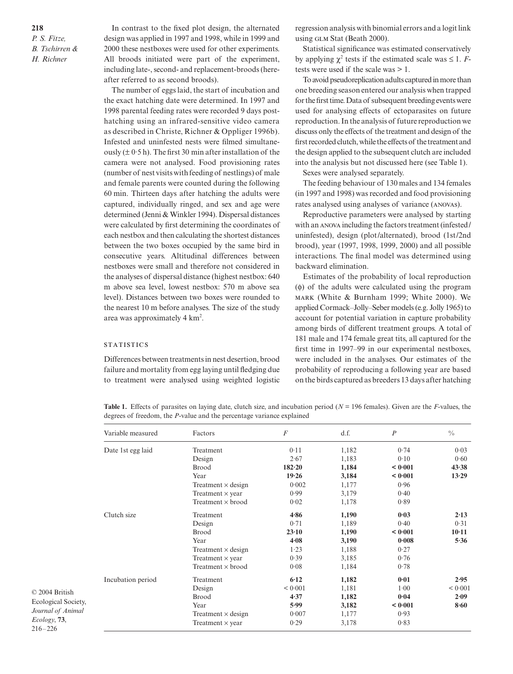**218** *P. S. Fitze, B. Tschirren & H. Richner*

© 2004 British Ecological Society, *Journal of Animal Ecology*, **73**, 216–226

In contrast to the fixed plot design, the alternated design was applied in 1997 and 1998, while in 1999 and 2000 these nestboxes were used for other experiments. All broods initiated were part of the experiment, including late-, second- and replacement-broods (hereafter referred to as second broods).

The number of eggs laid, the start of incubation and the exact hatching date were determined. In 1997 and 1998 parental feeding rates were recorded 9 days posthatching using an infrared-sensitive video camera as described in Christe, Richner & Oppliger 1996b). Infested and uninfested nests were filmed simultaneously  $(\pm 0.5 h)$ . The first 30 min after installation of the camera were not analysed. Food provisioning rates (number of nest visits with feeding of nestlings) of male and female parents were counted during the following 60 min. Thirteen days after hatching the adults were captured, individually ringed, and sex and age were determined (Jenni & Winkler 1994). Dispersal distances were calculated by first determining the coordinates of each nestbox and then calculating the shortest distances between the two boxes occupied by the same bird in consecutive years. Altitudinal differences between nestboxes were small and therefore not considered in the analyses of dispersal distance (highest nestbox: 640 m above sea level, lowest nestbox: 570 m above sea level). Distances between two boxes were rounded to the nearest 10 m before analyses. The size of the study area was approximately 4 km<sup>2</sup>.

#### **STATISTICS**

Differences between treatments in nest desertion, brood failure and mortality from egg laying until fledging due to treatment were analysed using weighted logistic regression analysis with binomial errors and a logit link using GLM Stat (Beath 2000).

Statistical significance was estimated conservatively by applying  $\chi^2$  tests if the estimated scale was  $\leq 1$ . *F*tests were used if the scale was > 1.

To avoid pseudoreplication adults captured in more than one breeding season entered our analysis when trapped for the first time. Data of subsequent breeding events were used for analysing effects of ectoparasites on future reproduction. In the analysis of future reproduction we discuss only the effects of the treatment and design of the first recorded clutch, while the effects of the treatment and the design applied to the subsequent clutch are included into the analysis but not discussed here (see Table 1).

Sexes were analysed separately.

The feeding behaviour of 130 males and 134 females (in 1997 and 1998) was recorded and food provisioning rates analysed using analyses of variance (ANOVAS).

Reproductive parameters were analysed by starting with an ANOVA including the factors treatment (infested/ uninfested), design (plot/alternated), brood (1st/2nd brood), year (1997, 1998, 1999, 2000) and all possible interactions. The final model was determined using backward elimination.

Estimates of the probability of local reproduction (φ) of the adults were calculated using the program (White & Burnham 1999; White 2000). We applied Cormack–Jolly–Seber models (e.g. Jolly 1965) to account for potential variation in capture probability among birds of different treatment groups. A total of 181 male and 174 female great tits, all captured for the first time in 1997–99 in our experimental nestboxes, were included in the analyses. Our estimates of the probability of reproducing a following year are based on the birds captured as breeders 13 days after hatching

**Table 1.** Effects of parasites on laying date, clutch size, and incubation period ( $N = 196$  females). Given are the *F*-values, the degrees of freedom, the *P*-value and the percentage variance explained

| Variable measured | Factors                   | $\boldsymbol{F}$ | d.f.  | $\boldsymbol{P}$ | $\frac{0}{0}$ |
|-------------------|---------------------------|------------------|-------|------------------|---------------|
| Date 1st egg laid | Treatment                 | 0.11             | 1,182 | 0.74             | 0.03          |
|                   | Design                    | 2.67             | 1,183 | 0.10             | 0.60          |
|                   | Brood                     | $182 - 20$       | 1,184 | < 0.001          | 43.38         |
|                   | Year                      | 19.26            | 3,184 | < 0.001          | 13.29         |
|                   | Treatment $\times$ design | 0.002            | 1,177 | 0.96             |               |
|                   | Treatment $\times$ year   | 0.99             | 3,179 | 0.40             |               |
|                   | Treatment × brood         | 0.02             | 1,178 | 0.89             |               |
| Clutch size       | <b>Treatment</b>          | 4.86             | 1,190 | 0.03             | 2.13          |
|                   | Design                    | 0.71             | 1,189 | 0.40             | 0.31          |
|                   | <b>Brood</b>              | $23 - 10$        | 1,190 | < 0.001          | $10 - 11$     |
|                   | Year                      | $4 - 08$         | 3,190 | 0.008            | 5.36          |
|                   | Treatment $\times$ design | 1.23             | 1,188 | 0.27             |               |
|                   | Treatment $\times$ year   | 0.39             | 3,185 | 0.76             |               |
|                   | Treatment $\times$ brood  | 0.08             | 1,184 | 0.78             |               |
| Incubation period | Treatment                 | 6.12             | 1,182 | $0 - 01$         | 2.95          |
|                   | Design                    | < 0.001          | 1,181 | $1 - 00$         | < 0.001       |
|                   | <b>Brood</b>              | 4.37             | 1,182 | 0.04             | 2.09          |
|                   | Year                      | 5.99             | 3,182 | < 0.001          | $8 - 60$      |
|                   | Treatment $\times$ design | 0.007            | 1,177 | 0.93             |               |
|                   | Treatment $\times$ year   | 0.29             | 3,178 | 0.83             |               |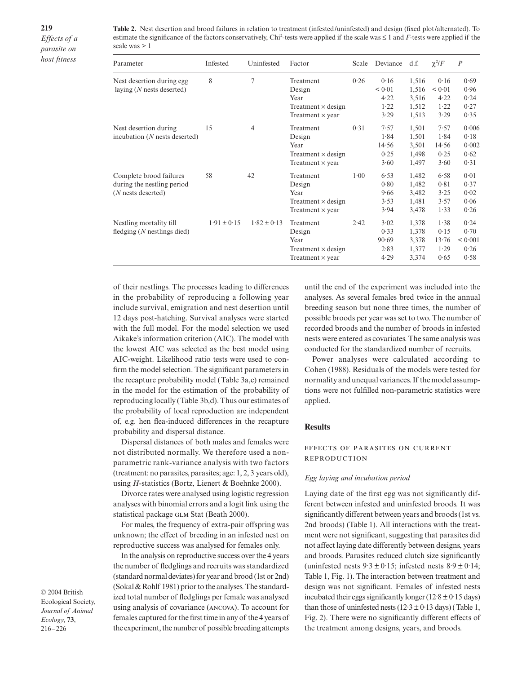**219**

**Table 2.** Nest desertion and brood failures in relation to treatment (infested/uninfested) and design (fixed plot/alternated). To estimate the significance of the factors conservatively, Chi<sup>2</sup>-tests were applied if the scale was ≤ 1 and *F*-tests were applied if the scale was > 1

| Parameter                       | Infested        | Uninfested      | Factor                    | Scale | Deviance | d.f.  | $\chi^2/F$ | P       |
|---------------------------------|-----------------|-----------------|---------------------------|-------|----------|-------|------------|---------|
| Nest desertion during egg       | 8               | $\overline{7}$  | Treatment                 | 0.26  | 0.16     | 1,516 | 0.16       | 0.69    |
| laying $(N$ nests deserted)     |                 |                 | Design                    |       | < 0.01   | 1,516 | < 0.01     | 0.96    |
|                                 |                 |                 | Year                      |       | 4.22     | 3,516 | 4.22       | 0.24    |
|                                 |                 |                 | Treatment $\times$ design |       | 1.22     | 1,512 | 1.22       | 0.27    |
|                                 |                 |                 | Treatment $\times$ year   |       | 3.29     | 1,513 | 3.29       | 0.35    |
| Nest desertion during           | 15              | 4               | Treatment                 | 0.31  | 7.57     | 1,501 | 7.57       | 0.006   |
| incubation $(N$ nests deserted) |                 |                 | Design                    |       | 1.84     | 1,501 | 1.84       | 0.18    |
|                                 |                 |                 | Year                      |       | 14.56    | 3,501 | 14.56      | 0.002   |
|                                 |                 |                 | Treatment $\times$ design |       | 0.25     | 1,498 | 0.25       | 0.62    |
|                                 |                 |                 | Treatment $\times$ year   |       | 3.60     | 1,497 | 3.60       | 0.31    |
| Complete brood failures         | 58              | 42              | Treatment                 | 1.00  | 6.53     | 1,482 | 6.58       | 0.01    |
| during the nestling period      |                 |                 | Design                    |       | 0.80     | 1,482 | 0.81       | 0.37    |
| ( <i>N</i> nests deserted)      |                 |                 | Year                      |       | 9.66     | 3,482 | 3.25       | 0.02    |
|                                 |                 |                 | Treatment $\times$ design |       | 3.53     | 1,481 | 3.57       | 0.06    |
|                                 |                 |                 | Treatment $\times$ year   |       | 3.94     | 3,478 | 1.33       | 0.26    |
| Nestling mortality till         | $1.91 \pm 0.15$ | $1.82 \pm 0.13$ | <b>Treatment</b>          | 2.42  | 3.02     | 1,378 | 1.38       | 0.24    |
| fledging $(N$ nestlings died)   |                 |                 | Design                    |       | 0.33     | 1,378 | 0.15       | 0.70    |
|                                 |                 |                 | Year                      |       | 90.69    | 3,378 | 13.76      | < 0.001 |
|                                 |                 |                 | Treatment $\times$ design |       | 2.83     | 1,377 | 1.29       | 0.26    |
|                                 |                 |                 | Treatment $\times$ year   |       | 4.29     | 3,374 | 0.65       | 0.58    |

of their nestlings. The processes leading to differences in the probability of reproducing a following year include survival, emigration and nest desertion until 12 days post-hatching. Survival analyses were started with the full model. For the model selection we used Aikake's information criterion (AIC). The model with the lowest AIC was selected as the best model using AIC-weight. Likelihood ratio tests were used to confirm the model selection. The significant parameters in the recapture probability model (Table 3a,c) remained in the model for the estimation of the probability of reproducing locally (Table 3b,d). Thus our estimates of the probability of local reproduction are independent of, e.g. hen flea-induced differences in the recapture probability and dispersal distance.

Dispersal distances of both males and females were not distributed normally. We therefore used a nonparametric rank-variance analysis with two factors (treatment: no parasites, parasites; age: 1, 2, 3 years old), using *H*-statistics (Bortz, Lienert & Boehnke 2000).

Divorce rates were analysed using logistic regression analyses with binomial errors and a logit link using the statistical package GLM Stat (Beath 2000).

For males, the frequency of extra-pair offspring was unknown; the effect of breeding in an infested nest on reproductive success was analysed for females only.

In the analysis on reproductive success over the 4 years the number of fledglings and recruits was standardized (standard normal deviates) for year and brood (1st or 2nd) (Sokal & Rohlf 1981) prior to the analyses. The standardized total number of fledglings per female was analysed using analysis of covariance (ANCOVA). To account for females captured for the first time in any of the 4 years of the experiment, the number of possible breeding attempts until the end of the experiment was included into the analyses. As several females bred twice in the annual breeding season but none three times, the number of possible broods per year was set to two. The number of recorded broods and the number of broods in infested nests were entered as covariates. The same analysis was conducted for the standardized number of recruits.

Power analyses were calculated according to Cohen (1988). Residuals of the models were tested for normality and unequal variances. If the model assumptions were not fulfilled non-parametric statistics were applied.

#### **Results**

# EFFECTS OF PARASITES ON CURRENT **REPRODUCTION**

#### *Egg laying and incubation period*

Laying date of the first egg was not significantly different between infested and uninfested broods. It was significantly different between years and broods (1st vs. 2nd broods) (Table 1). All interactions with the treatment were not significant, suggesting that parasites did not affect laying date differently between designs, years and broods. Parasites reduced clutch size significantly (uninfested nests  $9.3 \pm 0.15$ ; infested nests  $8.9 \pm 0.14$ ; Table 1, Fig. 1). The interaction between treatment and design was not significant. Females of infested nests incubated their eggs significantly longer  $(12.8 \pm 0.15 \text{ days})$ than those of uninfested nests ( $12.3 \pm 0.13$  days) (Table 1, Fig. 2). There were no significantly different effects of the treatment among designs, years, and broods.

© 2004 British Ecological Society, *Journal of Animal Ecology*, **73**, 216–226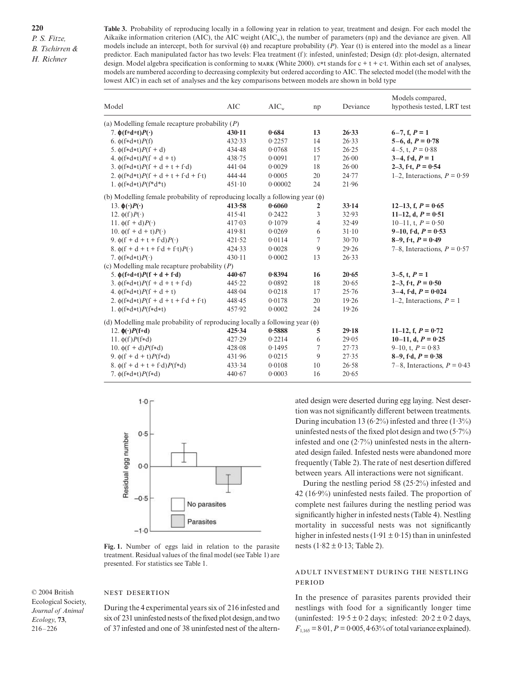**Table 3.** Probability of reproducing locally in a following year in relation to year, treatment and design. For each model the Aikaike information criterion (AIC), the AIC weight (AICw), the number of parameters (np) and the deviance are given. All models include an intercept, both for survival (φ) and recapture probability (*P*). Year (t) is entered into the model as a linear predictor. Each manipulated factor has two levels: Flea treatment (f): infested, uninfested; Design (d): plot-design, alternated design. Model algebra specification is conforming to MARK (White 2000). c\*t stands for c + t + c·t. Within each set of analyses, models are numbered according to decreasing complexity but ordered according to AIC. The selected model (the model with the lowest AIC) in each set of analyses and the key comparisons between models are shown in bold type

| Model                                                                             | AIC            | $AIC_w$ | np             | Deviance  | Models compared,<br>hypothesis tested, LRT test |
|-----------------------------------------------------------------------------------|----------------|---------|----------------|-----------|-------------------------------------------------|
| (a) Modelling female recapture probability $(P)$                                  |                |         |                |           |                                                 |
| 7. $\phi$ (f*d*t) $P(\cdot)$                                                      | $430 \cdot 11$ | 0.684   | 13             | 26.33     | $6-7$ , f, $P=1$                                |
| 6. $\phi$ (f*d*t) $P(f)$                                                          | 432.33         | 0.2257  | 14             | 26.33     | 5-6, d, $P = 0.78$                              |
| 5. $\phi(f*d*t)P(f + d)$                                                          | 434.48         | 0.0768  | 15             | 26.25     | 4–5, t, $P = 0.88$                              |
| 4. $\phi(f*d*t)P(f + d + t)$                                                      | 438.75         | 0.0091  | 17             | 26.00     | $3-4$ , f.d., $P = 1$                           |
| 3. $\phi(f*d*t)P(f + d + t + f \cdot d)$                                          | 441.04         | 0.0029  | 18             | 26.00     | 2–3, f·t, $P = 0.54$                            |
| 2. $\phi(f*d*t)P(f + d + t + f'd + f't)$                                          | 444.44         | 0.0005  | 20             | 24.77     | 1–2, Interactions, $P = 0.59$                   |
| 1. $φ(f*d*t)P(f*d*t)$                                                             | $451 \cdot 10$ | 0.00002 | 24             | 21.96     |                                                 |
| (b) Modelling female probability of reproducing locally a following year $(\phi)$ |                |         |                |           |                                                 |
| 13. $\phi(\cdot)P(\cdot)$                                                         | 413.58         | 0.6060  | $\overline{2}$ | 33.14     | 12–13, f, $P = 0.65$                            |
| 12. $\phi(f)P(\cdot)$                                                             | 415.41         | 0.2422  | 3              | 32.93     | 11-12, d, $P = 0.51$                            |
| 11. $\phi(f + d)P(\cdot)$                                                         | 417.03         | 0.1079  | 4              | 32.49     | 10-11, t, $P = 0.50$                            |
| 10. $\phi(f + d + t)P(\cdot)$                                                     | 419.81         | 0.0269  | 6              | $31-10$   | $9-10$ , f.d. $P = 0.53$                        |
| 9. $\phi(f + d + t + f \cdot d)P(\cdot)$                                          | 421.52         | 0.0114  | $\overline{7}$ | 30.70     | 8–9, f.t, $P = 0.49$                            |
| 8. $\phi(f + d + t + f \cdot d + f \cdot t) P(\cdot)$                             | 424.33         | 0.0028  | 9              | 29.26     | 7–8, Interactions, $P = 0.57$                   |
| 7. $\phi$ (f*d*t) $P(\cdot)$                                                      | $430 \cdot 11$ | 0.0002  | 13             | 26.33     |                                                 |
| (c) Modelling male recapture probability $(P)$                                    |                |         |                |           |                                                 |
| 5. $\phi$ (f*d*t) $P$ (f + d + f·d)                                               | 440.67         | 0.8394  | 16             | 20.65     | $3-5$ , t, $P=1$                                |
| 3. $\phi(f*d*t)P(f + d + t + f'd)$                                                | 445.22         | 0.0892  | 18             | 20.65     | 2–3, f.t, $P = 0.50$                            |
| 4. $\phi(f*d*t)P(f + d + t)$                                                      | 448.04         | 0.0218  | 17             | 25.76     | 3-4, f.d. $P = 0.024$                           |
| 2. $\phi(f*d*t)P(f + d + t + f \cdot d + f \cdot t)$                              | 448.45         | 0.0178  | 20             | 19.26     | 1–2, Interactions, $P = 1$                      |
| 1. $\phi(f*d*t)P(f*d*t)$                                                          | 457.92         | 0.0002  | 24             | 19.26     |                                                 |
| (d) Modelling male probability of reproducing locally a following year $(\phi)$   |                |         |                |           |                                                 |
| 12. $\phi(\cdot)P(f*d)$                                                           | 425.34         | 0.5888  | 5              | 29.18     | 11-12, f, $P = 0.72$                            |
| 11. $\phi(f)P(f*d)$                                                               | 427.29         | 0.2214  | 6              | 29.05     | 10-11, d, $P = 0.25$                            |
| 10. $\phi(f + d)P(f * d)$                                                         | 428.08         | 0.1495  | 7              | $27 - 73$ | 9–10, t, $P = 0.83$                             |
| 9. $φ(f + d + t)P(f * d)$                                                         | 431.96         | 0.0215  | 9              | 27.35     | 8-9, f.d. $P = 0.38$                            |
| $8. \phi(f + d + t + f \cdot d)P(f * d)$                                          | 433.34         | 0.0108  | 10             | 26.58     | 7–8, Interactions, $P = 0.43$                   |
| 7. $\phi(f * d * t) P(f * d)$                                                     | 440.67         | 0.0003  | 16             | 20.65     |                                                 |



**Fig. 1.** Number of eggs laid in relation to the parasite treatment. Residual values of the final model (see Table 1) are presented. For statistics see Table 1.

**NEST DESERTION** 

© 2004 British Ecological Society, *Journal of Animal Ecology*, **73**, 216–226

During the 4 experimental years six of 216 infested and six of 231 uninfested nests of the fixed plot design, and two of 37 infested and one of 38 uninfested nest of the altern-

ated design were deserted during egg laying. Nest desertion was not significantly different between treatments. During incubation 13 (6.2%) infested and three  $(1.3\%)$ uninfested nests of the fixed plot design and two  $(5.7\%)$ infested and one  $(2.7\%)$  uninfested nests in the alternated design failed. Infested nests were abandoned more frequently (Table 2). The rate of nest desertion differed between years. All interactions were not significant.

During the nestling period 58 (25·2%) infested and 42 (16·9%) uninfested nests failed. The proportion of complete nest failures during the nestling period was significantly higher in infested nests (Table 4). Nestling mortality in successful nests was not significantly higher in infested nests (1.91  $\pm$  0.15) than in uninfested nests  $(1.82 \pm 0.13;$  Table 2).

# ADULT INVESTMENT DURING THE NESTLING PERIOD

In the presence of parasites parents provided their nestlings with food for a significantly longer time (uninfested:  $19.5 \pm 0.2$  days; infested:  $20.2 \pm 0.2$  days,  $F_{1,165} = 8.01, P = 0.005, 4.63\%$  of total variance explained).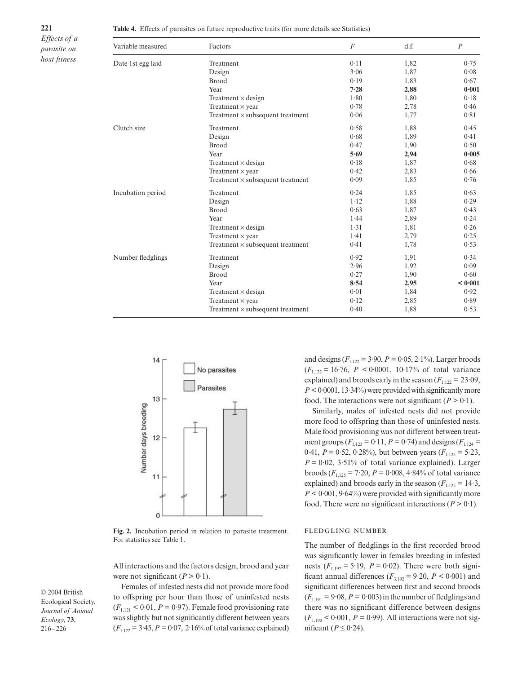**221**

*Effects of a parasite on host fitness*

**Table 4.** Effects of parasites on future reproductive traits (for more details see Statistics)

| Variable measured | Factors                                 | $\boldsymbol{F}$ | d.f. | $\boldsymbol{P}$ |
|-------------------|-----------------------------------------|------------------|------|------------------|
| Date 1st egg laid | Treatment                               | 0.11             | 1,82 | 0.75             |
|                   | Design                                  | 3.06             | 1,87 | 0.08             |
|                   | <b>Brood</b>                            | 0.19             | 1,83 | 0.67             |
|                   | Year                                    | 7.28             | 2,88 | 0.001            |
|                   | Treatment $\times$ design               | 1.80             | 1,80 | 0.18             |
|                   | Treatment $\times$ year                 | 0.78             | 2,78 | 0.46             |
|                   | Treatment $\times$ subsequent treatment | 0.06             | 1,77 | 0.81             |
| Clutch size       | Treatment                               | 0.58             | 1,88 | 0.45             |
|                   | Design                                  | 0.68             | 1,89 | 0.41             |
|                   | <b>Brood</b>                            | 0.47             | 1,90 | 0.50             |
|                   | Year                                    | 5.69             | 2,94 | 0.005            |
|                   | Treatment $\times$ design               | 0.18             | 1,87 | 0.68             |
|                   | Treatment $\times$ year                 | 0.42             | 2,83 | 0.66             |
|                   | Treatment $\times$ subsequent treatment | 0.09             | 1,85 | 0.76             |
| Incubation period | Treatment                               | 0.24             | 1,85 | 0.63             |
|                   | Design                                  | $1-12$           | 1,88 | 0.29             |
|                   | <b>Brood</b>                            | 0.63             | 1,87 | 0.43             |
|                   | Year                                    | 1.44             | 2,89 | 0.24             |
|                   | Treatment $\times$ design               | 1.31             | 1,81 | 0.26             |
|                   | Treatment $\times$ year                 | 1.41             | 2,79 | 0.25             |
|                   | Treatment $\times$ subsequent treatment | 0.41             | 1,78 | 0.53             |
| Number fledglings | Treatment                               | 0.92             | 1,91 | 0.34             |
|                   | Design                                  | 2.96             | 1,92 | 0.09             |
|                   | <b>Brood</b>                            | 0.27             | 1,90 | 0.60             |
|                   | Year                                    | 8.54             | 2,95 | < 0.001          |
|                   | Treatment $\times$ design               | 0.01             | 1,84 | 0.92             |
|                   | Treatment $\times$ year                 | 0.12             | 2,85 | 0.89             |
|                   | Treatment $\times$ subsequent treatment | 0.40             | 1,88 | 0.53             |



**Fig. 2.** Incubation period in relation to parasite treatment. For statistics see Table 1.

All interactions and the factors design, brood and year were not significant  $(P > 0.1)$ .

© 2004 British Ecological Society, *Journal of Animal Ecology*, **73**, 216–226

Females of infested nests did not provide more food to offspring per hour than those of uninfested nests  $(F<sub>1,121</sub> < 0.01, P = 0.97)$ . Female food provisioning rate was slightly but not significantly different between years  $(F_{1,122} = 3.45, P = 0.07, 2.16\%$  of total variance explained) and designs  $(F_{1,122} = 3.90, P = 0.05, 2.1\%)$ . Larger broods  $(F_{1,122} = 16.76, P \le 0.0001, 10.17\%$  of total variance explained) and broods early in the season  $(F_{1,122} = 23.09)$ ,  $P \leq 0.0001$ , 13.34%) were provided with significantly more food. The interactions were not significant  $(P > 0.1)$ .

Similarly, males of infested nests did not provide more food to offspring than those of uninfested nests. Male food provisioning was not different between treatment groups  $(F_{1,123} = 0.11, P = 0.74)$  and designs  $(F_{1,124} =$ 0.41,  $P = 0.52$ , 0.28%), but between years  $(F_{1.125} = 5.23)$ ,  $P = 0.02$ , 3.51% of total variance explained). Larger broods  $(F_{1,125} = 7.20, P = 0.008, 4.84\%$  of total variance explained) and broods early in the season  $(F_{1,125} = 14.3)$ ,  $P < 0.001$ , 9.64%) were provided with significantly more food. There were no significant interactions  $(P > 0.1)$ .

#### **FLEDGLING NUMBER**

The number of fledglings in the first recorded brood was significantly lower in females breeding in infested nests  $(F_{1,192} = 5.19, P = 0.02)$ . There were both significant annual differences  $(F_{3,192} = 9.20, P \le 0.001)$  and significant differences between first and second broods  $(F<sub>1,191</sub> = 9.08, P = 0.003)$  in the number of fledglings and there was no significant difference between designs  $(F_{1,190} < 0.001, P = 0.99)$ . All interactions were not significant ( $P \le 0.24$ ).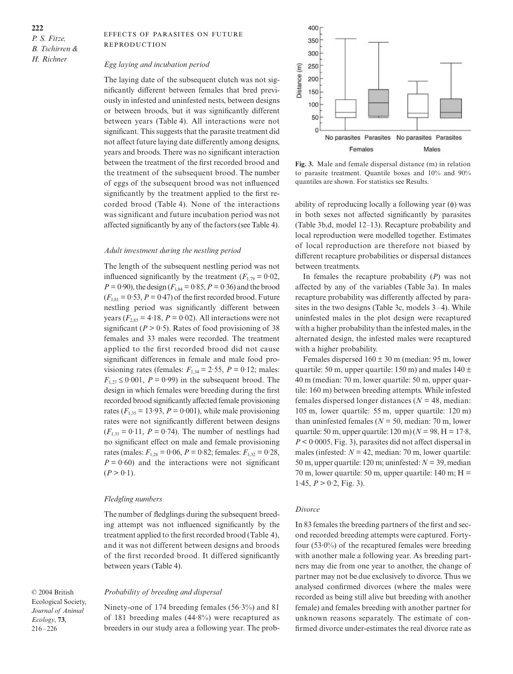# EFFECTS OF PARASITES ON FUTURE **REPRODUCTION**

#### *Egg laying and incubation period*

The laying date of the subsequent clutch was not significantly different between females that bred previously in infested and uninfested nests, between designs or between broods, but it was significantly different between years (Table 4). All interactions were not significant. This suggests that the parasite treatment did not affect future laying date differently among designs, years and broods. There was no significant interaction between the treatment of the first recorded brood and the treatment of the subsequent brood. The number of eggs of the subsequent brood was not influenced significantly by the treatment applied to the first recorded brood (Table 4). None of the interactions was significant and future incubation period was not affected significantly by any of the factors (see Table 4).

#### *Adult investment during the nestling period*

The length of the subsequent nestling period was not influenced significantly by the treatment  $(F_{1,79} = 0.02)$ ,  $P = 0.90$ , the design ( $F_{1,84} = 0.85$ ,  $P = 0.36$ ) and the brood  $(F_{1,81} = 0.53, P = 0.47)$  of the first recorded brood. Future nestling period was significantly different between years  $(F_{2.85} = 4.18, P = 0.02)$ . All interactions were not significant ( $P > 0.5$ ). Rates of food provisioning of 38 females and 33 males were recorded. The treatment applied to the first recorded brood did not cause significant differences in female and male food provisioning rates (females:  $F_{1,34} = 2.55$ ,  $P = 0.12$ ; males:  $F_{1,27} \le 0.001$ ,  $P = 0.99$ ) in the subsequent brood. The design in which females were breeding during the first recorded brood significantly affected female provisioning rates  $(F<sub>1,35</sub> = 13.93, P = 0.001)$ , while male provisioning rates were not significantly different between designs  $(F_{1,31} = 0.11, P = 0.74)$ . The number of nestlings had no significant effect on male and female provisioning rates (males:  $F_{1,28} = 0.06$ ,  $P = 0.82$ ; females:  $F_{1,32} = 0.28$ ,  $P = 0.60$ ) and the interactions were not significant  $(P > 0.1)$ .

#### *Fledgling numbers*

The number of fledglings during the subsequent breeding attempt was not influenced significantly by the treatment applied to the first recorded brood (Table 4), and it was not different between designs and broods of the first recorded brood. It differed significantly between years (Table 4).

© 2004 British Ecological Society, *Journal of Animal Ecology*, **73**, 216–226

#### *Probability of breeding and dispersal*

Ninety-one of 174 breeding females (56·3%) and 81 of 181 breeding males (44·8%) were recaptured as breeders in our study area a following year. The prob-



**Fig. 3.** Male and female dispersal distance (m) in relation to parasite treatment. Quantile boxes and 10% and 90% quantiles are shown. For statistics see Results.

ability of reproducing locally a following year (φ) was in both sexes not affected significantly by parasites (Table 3b,d, model 12–13). Recapture probability and local reproduction were modelled together. Estimates of local reproduction are therefore not biased by different recapture probabilities or dispersal distances between treatments.

In females the recapture probability (*P*) was not affected by any of the variables (Table 3a). In males recapture probability was differently affected by parasites in the two designs (Table 3c, models 3–4). While uninfested males in the plot design were recaptured with a higher probability than the infested males, in the alternated design, the infested males were recaptured with a higher probability.

Females dispersed  $160 \pm 30$  m (median: 95 m, lower quartile: 50 m, upper quartile: 150 m) and males  $140 \pm$ 40 m (median: 70 m, lower quartile: 50 m, upper quartile: 160 m) between breeding attempts. While infested females dispersed longer distances (*N* = 48, median: 105 m, lower quartile: 55 m, upper quartile: 120 m) than uninfested females ( $N = 50$ , median: 70 m, lower quartile: 50 m, upper quartile:  $120 \text{ m}$ ) ( $N = 98$ , H =  $17.8$ , *P* < 0·0005, Fig. 3), parasites did not affect dispersal in males (infested:  $N = 42$ , median: 70 m, lower quartile: 50 m, upper quartile: 120 m; uninfested: *N* = 39, median 70 m, lower quartile: 50 m, upper quartile:  $140$  m; H =  $1.45, P > 0.2, Fig. 3$ ).

#### *Divorce*

In 83 females the breeding partners of the first and second recorded breeding attempts were captured. Fortyfour  $(53.0\%)$  of the recaptured females were breeding with another male a following year. As breeding partners may die from one year to another, the change of partner may not be due exclusively to divorce. Thus we analysed confirmed divorces (where the males were recorded as being still alive but breeding with another female) and females breeding with another partner for unknown reasons separately. The estimate of confirmed divorce under-estimates the real divorce rate as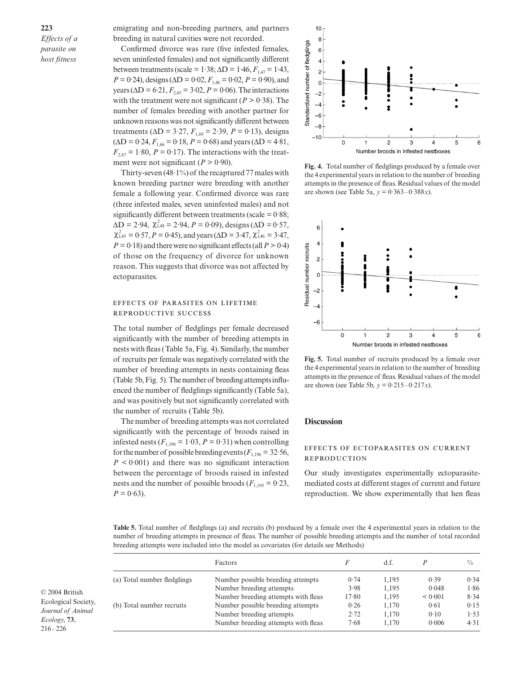emigrating and non-breeding partners, and partners breeding in natural cavities were not recorded.

Confirmed divorce was rare (five infested females, seven uninfested females) and not significantly different between treatments (scale = 1·38;  $ΔD = 1.46$ ,  $F_{1.47} = 1.43$ ,  $P = 0.24$ ), designs ( $\Delta D = 0.02$ ,  $F_{1,46} = 0.02$ ,  $P = 0.90$ ), and years (ΔD = 6·21,  $F_{2,45}$  = 3·02,  $P$  = 0·06). The interactions with the treatment were not significant ( $P > 0.38$ ). The number of females breeding with another partner for unknown reasons was not significantly different between treatments ( $\Delta D = 3.27$ ,  $F_{1,69} = 2.39$ ,  $P = 0.13$ ), designs  $(\Delta D = 0.24, F_{1.66} = 0.18, P = 0.68)$  and years ( $\Delta D = 4.81$ ,  $F_{2,67} = 1.80$ ,  $P = 0.17$ ). The interactions with the treatment were not significant ( $P > 0.90$ ).

Thirty-seven  $(48.1\%)$  of the recaptured 77 males with known breeding partner were breeding with another female a following year. Confirmed divorce was rare (three infested males, seven uninfested males) and not significantly different between treatments (scale  $= 0.88$ ;  $\Delta D = 2.94$ ,  $\chi^{2}_{1,48} = 2.94$ ,  $P = 0.09$ ), designs ( $\Delta D = 0.57$ ,  $\chi^2_{1,45} = 0.57, P = 0.45$ , and years ( $\Delta D = 3.47, \chi^2_{1,46} = 3.47$ ,  $P = 0.18$ ) and there were no significant effects (all  $P > 0.4$ ) of those on the frequency of divorce for unknown reason. This suggests that divorce was not affected by ectoparasites.

### EFFECTS OF PARASITES ON LIFETIME REPRODUCTIVE SUCCESS

The total number of fledglings per female decreased significantly with the number of breeding attempts in nests with fleas (Table 5a, Fig. 4). Similarly, the number of recruits per female was negatively correlated with the number of breeding attempts in nests containing fleas (Table 5b, Fig. 5). The number of breeding attempts influenced the number of fledglings significantly (Table 5a), and was positively but not significantly correlated with the number of recruits (Table 5b).

The number of breeding attempts was not correlated significantly with the percentage of broods raised in infested nests  $(F_{1,196} = 1.03, P = 0.31)$  when controlling for the number of possible breeding events  $(F_{1,196} = 32.56$ ,  $P \leq 0.001$ ) and there was no significant interaction between the percentage of broods raised in infested nests and the number of possible broods  $(F_{1,195} = 0.23)$ ,  $P = 0.63$ .



**Fig. 4.** Total number of fledglings produced by a female over the 4 experimental years in relation to the number of breeding attempts in the presence of fleas. Residual values of the model are shown (see Table 5a,  $y = 0.363 - 0.388x$ ).



**Fig. 5.** Total number of recruits produced by a female over the 4 experimental years in relation to the number of breeding attempts in the presence of fleas. Residual values of the model are shown (see Table 5b,  $y = 0.215 - 0.217x$ ).

## **Discussion**

# EFFECTS OF ECTOPARASITES ON CURRENT **REPRODUCTION**

Our study investigates experimentally ectoparasitemediated costs at different stages of current and future reproduction. We show experimentally that hen fleas

**Table 5.** Total number of fledglings (a) and recruits (b) produced by a female over the 4 experimental years in relation to the number of breeding attempts in presence of fleas. The number of possible breeding attempts and the number of total recorded breeding attempts were included into the model as covariates (for details see Methods)

|                             | <b>Factors</b>                      | F     | d.f.  | D       | $\frac{0}{0}$ |
|-----------------------------|-------------------------------------|-------|-------|---------|---------------|
| (a) Total number fledglings | Number possible breeding attempts   | 0.74  | 1.195 | 0.39    | 0.34          |
|                             | Number breeding attempts            | 3.98  | 1.195 | 0.048   | 1.86          |
|                             | Number breeding attempts with fleas | 17.80 | 1.195 | < 0.001 | 8.34          |
| (b) Total number recruits   | Number possible breeding attempts   | 0.26  | 1.170 | 0.61    | 0.15          |
|                             | Number breeding attempts            | 2.72  | 1.170 | 0.10    | 1.53          |
|                             | Number breeding attempts with fleas | 7.68  | 1.170 | 0.006   | 4.31          |

© 2004 British Ecological Society, *Journal of Animal Ecology*, **73**, 216–226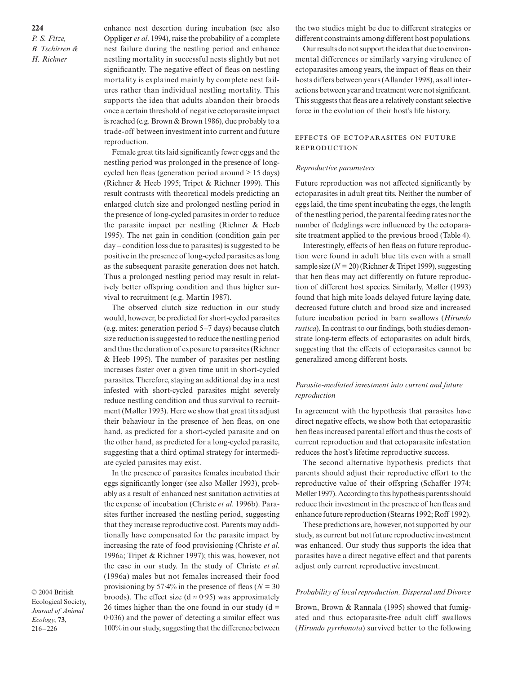**224** *P. S. Fitze, B. Tschirren & H. Richner*

enhance nest desertion during incubation (see also Oppliger *et al*. 1994), raise the probability of a complete nest failure during the nestling period and enhance nestling mortality in successful nests slightly but not significantly. The negative effect of fleas on nestling mortality is explained mainly by complete nest failures rather than individual nestling mortality. This supports the idea that adults abandon their broods once a certain threshold of negative ectoparasite impact is reached (e.g. Brown & Brown 1986), due probably to a trade-off between investment into current and future reproduction.

Female great tits laid significantly fewer eggs and the nestling period was prolonged in the presence of longcycled hen fleas (generation period around  $\geq 15$  days) (Richner & Heeb 1995; Tripet & Richner 1999). This result contrasts with theoretical models predicting an enlarged clutch size and prolonged nestling period in the presence of long-cycled parasites in order to reduce the parasite impact per nestling (Richner & Heeb 1995). The net gain in condition (condition gain per day – condition loss due to parasites) is suggested to be positive in the presence of long-cycled parasites as long as the subsequent parasite generation does not hatch. Thus a prolonged nestling period may result in relatively better offspring condition and thus higher survival to recruitment (e.g. Martin 1987).

The observed clutch size reduction in our study would, however, be predicted for short-cycled parasites (e.g. mites: generation period 5–7 days) because clutch size reduction is suggested to reduce the nestling period and thus the duration of exposure to parasites (Richner & Heeb 1995). The number of parasites per nestling increases faster over a given time unit in short-cycled parasites. Therefore, staying an additional day in a nest infested with short-cycled parasites might severely reduce nestling condition and thus survival to recruitment (Møller 1993). Here we show that great tits adjust their behaviour in the presence of hen fleas, on one hand, as predicted for a short-cycled parasite and on the other hand, as predicted for a long-cycled parasite, suggesting that a third optimal strategy for intermediate cycled parasites may exist.

In the presence of parasites females incubated their eggs significantly longer (see also Møller 1993), probably as a result of enhanced nest sanitation activities at the expense of incubation (Christe *et al*. 1996b). Parasites further increased the nestling period, suggesting that they increase reproductive cost. Parents may additionally have compensated for the parasite impact by increasing the rate of food provisioning (Christe *et al*. 1996a; Tripet & Richner 1997); this was, however, not the case in our study. In the study of Christe *et al*. (1996a) males but not females increased their food provisioning by 57·4% in the presence of fleas (*N* = 30 broods). The effect size ( $d \approx 0.95$ ) was approximately 26 times higher than the one found in our study  $(d =$ 0·036) and the power of detecting a similar effect was 100% in our study, suggesting that the difference between

© 2004 British Ecological Society, *Journal of Animal Ecology*, **73**, 216–226

the two studies might be due to different strategies or different constraints among different host populations.

Our results do not support the idea that due to environmental differences or similarly varying virulence of ectoparasites among years, the impact of fleas on their hosts differs between years (Allander 1998), as all interactions between year and treatment were not significant. This suggests that fleas are a relatively constant selective force in the evolution of their host's life history.

# EFFECTS OF ECTOPARASITES ON FUTURE **REPRODUCTION**

#### *Reproductive parameters*

Future reproduction was not affected significantly by ectoparasites in adult great tits. Neither the number of eggs laid, the time spent incubating the eggs, the length of the nestling period, the parental feeding rates nor the number of fledglings were influenced by the ectoparasite treatment applied to the previous brood (Table 4).

Interestingly, effects of hen fleas on future reproduction were found in adult blue tits even with a small sample size  $(N = 20)$  (Richner & Tripet 1999), suggesting that hen fleas may act differently on future reproduction of different host species. Similarly, Møller (1993) found that high mite loads delayed future laying date, decreased future clutch and brood size and increased future incubation period in barn swallows (*Hirundo rustica*). In contrast to our findings, both studies demonstrate long-term effects of ectoparasites on adult birds, suggesting that the effects of ectoparasites cannot be generalized among different hosts.

# *Parasite-mediated investment into current and future reproduction*

In agreement with the hypothesis that parasites have direct negative effects, we show both that ectoparasitic hen fleas increased parental effort and thus the costs of current reproduction and that ectoparasite infestation reduces the host's lifetime reproductive success.

The second alternative hypothesis predicts that parents should adjust their reproductive effort to the reproductive value of their offspring (Schaffer 1974; Møller 1997). According to this hypothesis parents should reduce their investment in the presence of hen fleas and enhance future reproduction (Stearns 1992; Roff 1992).

These predictions are, however, not supported by our study, as current but not future reproductive investment was enhanced. Our study thus supports the idea that parasites have a direct negative effect and that parents adjust only current reproductive investment.

#### *Probability of local reproduction, Dispersal and Divorce*

Brown, Brown & Rannala (1995) showed that fumigated and thus ectoparasite-free adult cliff swallows (*Hirundo pyrrhonota*) survived better to the following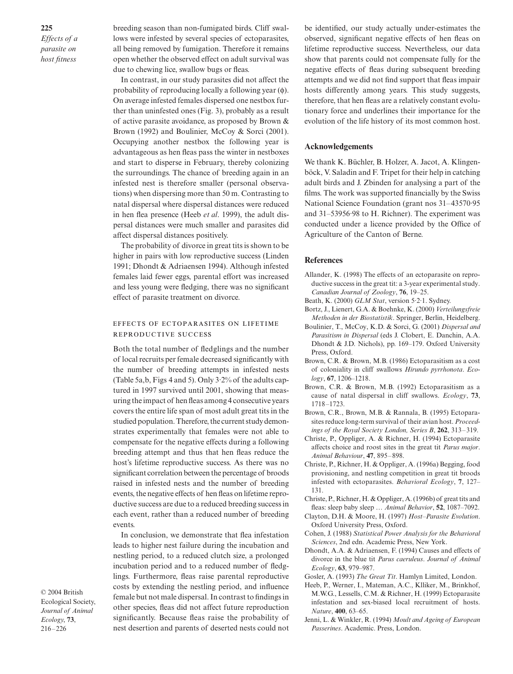breeding season than non-fumigated birds. Cliff swallows were infested by several species of ectoparasites, all being removed by fumigation. Therefore it remains open whether the observed effect on adult survival was due to chewing lice, swallow bugs or fleas.

In contrast, in our study parasites did not affect the probability of reproducing locally a following year (φ). On average infested females dispersed one nestbox further than uninfested ones (Fig. 3), probably as a result of active parasite avoidance, as proposed by Brown & Brown (1992) and Boulinier, McCoy & Sorci (2001). Occupying another nestbox the following year is advantageous as hen fleas pass the winter in nestboxes and start to disperse in February, thereby colonizing the surroundings. The chance of breeding again in an infested nest is therefore smaller (personal observations) when dispersing more than 50 m. Contrasting to natal dispersal where dispersal distances were reduced in hen flea presence (Heeb *et al*. 1999), the adult dispersal distances were much smaller and parasites did affect dispersal distances positively.

The probability of divorce in great tits is shown to be higher in pairs with low reproductive success (Linden 1991; Dhondt & Adriaensen 1994). Although infested females laid fewer eggs, parental effort was increased and less young were fledging, there was no significant effect of parasite treatment on divorce.

# EFFECTS OF ECTOPARASITES ON LIFETIME REPRODUCTIVE SUCCESS

Both the total number of fledglings and the number of local recruits per female decreased significantly with the number of breeding attempts in infested nests (Table 5a,b, Figs 4 and 5). Only 3·2% of the adults captured in 1997 survived until 2001, showing that measuring the impact of hen fleas among 4 consecutive years covers the entire life span of most adult great tits in the studied population. Therefore, the current study demonstrates experimentally that females were not able to compensate for the negative effects during a following breeding attempt and thus that hen fleas reduce the host's lifetime reproductive success. As there was no significant correlation between the percentage of broods raised in infested nests and the number of breeding events, the negative effects of hen fleas on lifetime reproductive success are due to a reduced breeding success in each event, rather than a reduced number of breeding events.

In conclusion, we demonstrate that flea infestation leads to higher nest failure during the incubation and nestling period, to a reduced clutch size, a prolonged incubation period and to a reduced number of fledglings. Furthermore, fleas raise parental reproductive costs by extending the nestling period, and influence female but not male dispersal. In contrast to findings in other species, fleas did not affect future reproduction significantly. Because fleas raise the probability of nest desertion and parents of deserted nests could not

© 2004 British Ecological Society, *Journal of Animal Ecology*, **73**, 216–226

be identified, our study actually under-estimates the observed, significant negative effects of hen fleas on lifetime reproductive success. Nevertheless, our data show that parents could not compensate fully for the negative effects of fleas during subsequent breeding attempts and we did not find support that fleas impair hosts differently among years. This study suggests, therefore, that hen fleas are a relatively constant evolutionary force and underlines their importance for the evolution of the life history of its most common host.

# **Acknowledgements**

We thank K. Büchler, B. Holzer, A. Jacot, A. Klingenböck, V. Saladin and F. Tripet for their help in catching adult birds and J. Zbinden for analysing a part of the films. The work was supported financially by the Swiss National Science Foundation (grant nos 31–43570·95 and 31–53956·98 to H. Richner). The experiment was conducted under a licence provided by the Office of Agriculture of the Canton of Berne.

#### **References**

- Allander, K. (1998) The effects of an ectoparasite on reproductive success in the great tit: a 3-year experimental study. *Canadian Journal of Zoology*, **76**, 19–25.
- Beath, K. (2000) *GLM Stat*, version 5·2·1. Sydney. Bortz, J., Lienert, G.A. & Boehnke, K. (2000) *Verteilungsfreie Methoden in der Biostatistik*. Springer, Berlin, Heidelberg.
- Boulinier, T., McCoy, K.D. & Sorci, G. (2001) *Dispersal and Parasitism in Dispersal* (eds J. Clobert, E. Danchin, A.A. Dhondt & J.D. Nichols), pp. 169–179. Oxford University Press, Oxford.
- Brown, C.R. & Brown, M.B. (1986) Ectoparasitism as a cost of coloniality in cliff swallows *Hirundo pyrrhonota*. *Ecology*, **67**, 1206–1218.
- Brown, C.R. & Brown, M.B. (1992) Ectoparasitism as a cause of natal dispersal in cliff swallows. *Ecology*, **73**, 1718–1723.
- Brown, C.R., Brown, M.B. & Rannala, B. (1995) Ectoparasites reduce long-term survival of their avian host. *Proceedings of the Royal Society London, Series B*, **262**, 313–319.
- Christe, P., Oppliger, A. & Richner, H. (1994) Ectoparasite affects choice and roost sites in the great tit *Parus major*. *Animal Behaviour*, **47**, 895–898.
- Christe, P., Richner, H. & Oppliger, A. (1996a) Begging, food provisioning, and nestling competition in great tit broods infested with ectoparasites. *Behavioral Ecology*, **7**, 127– 131.
- Christe, P., Richner, H. & Oppliger, A. (1996b) of great tits and fleas: sleep baby sleep … *Animal Behavior*, **52**, 1087–7092.
- Clayton, D.H. & Moore, H. (1997) *Host–Parasite Evolution*. Oxford University Press, Oxford.
- Cohen, J. (1988) *Statistical Power Analysis for the Behavioral Sciences*, 2nd edn. Academic Press, New York.
- Dhondt, A.A. & Adriaensen, F. (1994) Causes and effects of divorce in the blue tit *Parus caeruleus*. *Journal of Animal Ecology*, **63**, 979–987.
- Gosler, A. (1993) *The Great Tit*. Hamlyn Limited, London.
- Heeb, P., Werner, I., Mateman, A.C., Klliker, M., Brinkhof, M.W.G., Lessells, C.M. & Richner, H. (1999) Ectoparasite infestation and sex-biased local recruitment of hosts. *Nature*, **400**, 63–65.
- Jenni, L. & Winkler, R. (1994) *Moult and Ageing of European Passerines*. Academic. Press, London.